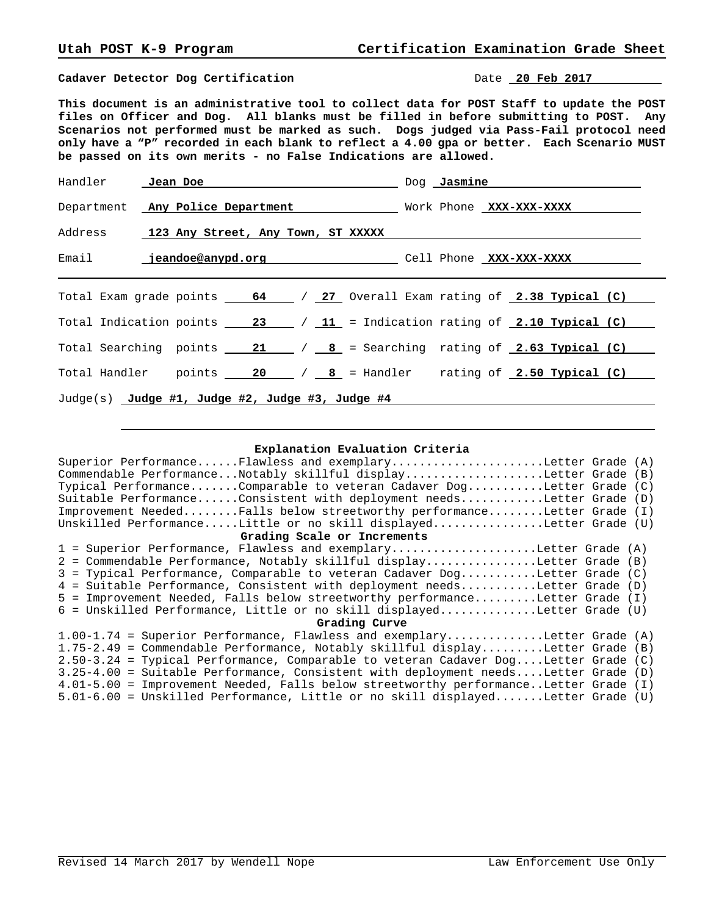**Cadaver Detector Dog Certification Date 20 Feb 2017** 

**This document is an administrative tool to collect data for POST Staff to update the POST files on Officer and Dog. All blanks must be filled in before submitting to POST. Any Scenarios not performed must be marked as such. Dogs judged via Pass-Fail protocol need only have a "P" recorded in each blank to reflect a 4.00 gpa or better. Each Scenario MUST be passed on its own merits - no False Indications are allowed.**

|                                                 | Department Any Police Department Nork Phone XXX-XXX-XXXX                                                                                              |  |  |  |  |  |  |
|-------------------------------------------------|-------------------------------------------------------------------------------------------------------------------------------------------------------|--|--|--|--|--|--|
|                                                 | Address 123 Any Street, Any Town, ST XXXXX                                                                                                            |  |  |  |  |  |  |
|                                                 |                                                                                                                                                       |  |  |  |  |  |  |
|                                                 | Total Exam grade points $\frac{64}{127}$ / $\frac{27}{127}$ Overall Exam rating of $\frac{2.38}{127}$ Typical (C)                                     |  |  |  |  |  |  |
|                                                 | Total Indication points $\frac{23}{11}$ / $\frac{11}{11}$ = Indication rating of 2.10 Typical (C)                                                     |  |  |  |  |  |  |
|                                                 | Total Searching points $\underline{\hspace{1em}}$ 21 $\underline{\hspace{1em}}$ / $\underline{\hspace{1em}}$ 8 = Searching rating of 2.63 Typical (C) |  |  |  |  |  |  |
|                                                 | Total Handler points $\frac{20}{18}$ / $\frac{8}{18}$ = Handler rating of 2.50 Typical (C)                                                            |  |  |  |  |  |  |
| Judge(s) Judge #1, Judge #2, Judge #3, Judge #4 |                                                                                                                                                       |  |  |  |  |  |  |

## **Explanation Evaluation Criteria**

| Superior PerformanceFlawless and exemplaryLetter Grade (A)                           |  |  |  |  |  |
|--------------------------------------------------------------------------------------|--|--|--|--|--|
| Commendable PerformanceNotably skillful displayLetter Grade (B)                      |  |  |  |  |  |
| Typical PerformanceComparable to veteran Cadaver DogLetter Grade (C)                 |  |  |  |  |  |
| Suitable PerformanceConsistent with deployment needsLetter Grade (D)                 |  |  |  |  |  |
| Improvement NeededFalls below streetworthy performanceLetter Grade (I)               |  |  |  |  |  |
| Unskilled PerformanceLittle or no skill displayedLetter Grade (U)                    |  |  |  |  |  |
| Grading Scale or Increments                                                          |  |  |  |  |  |
| 1 = Superior Performance, Flawless and exemplaryLetter Grade (A)                     |  |  |  |  |  |
| 2 = Commendable Performance, Notably skillful displayLetter Grade (B)                |  |  |  |  |  |
| 3 = Typical Performance, Comparable to veteran Cadaver DogLetter Grade (C)           |  |  |  |  |  |
| 4 = Suitable Performance, Consistent with deployment needsLetter Grade (D)           |  |  |  |  |  |
| 5 = Improvement Needed, Falls below streetworthy performanceLetter Grade (I)         |  |  |  |  |  |
| 6 = Unskilled Performance, Little or no skill displayedLetter Grade (U)              |  |  |  |  |  |
| Grading Curve                                                                        |  |  |  |  |  |
| $1.00-1.74$ = Superior Performance, Flawless and exemplaryLetter Grade (A)           |  |  |  |  |  |
| 1.75-2.49 = Commendable Performance, Notably skillful displayLetter Grade (B)        |  |  |  |  |  |
| 2.50-3.24 = Typical Performance, Comparable to veteran Cadaver DogLetter Grade (C)   |  |  |  |  |  |
| 3.25-4.00 = Suitable Performance, Consistent with deployment needsLetter Grade (D)   |  |  |  |  |  |
| 4.01-5.00 = Improvement Needed, Falls below streetworthy performanceLetter Grade (I) |  |  |  |  |  |
| 5.01-6.00 = Unskilled Performance, Little or no skill displayedLetter Grade (U)      |  |  |  |  |  |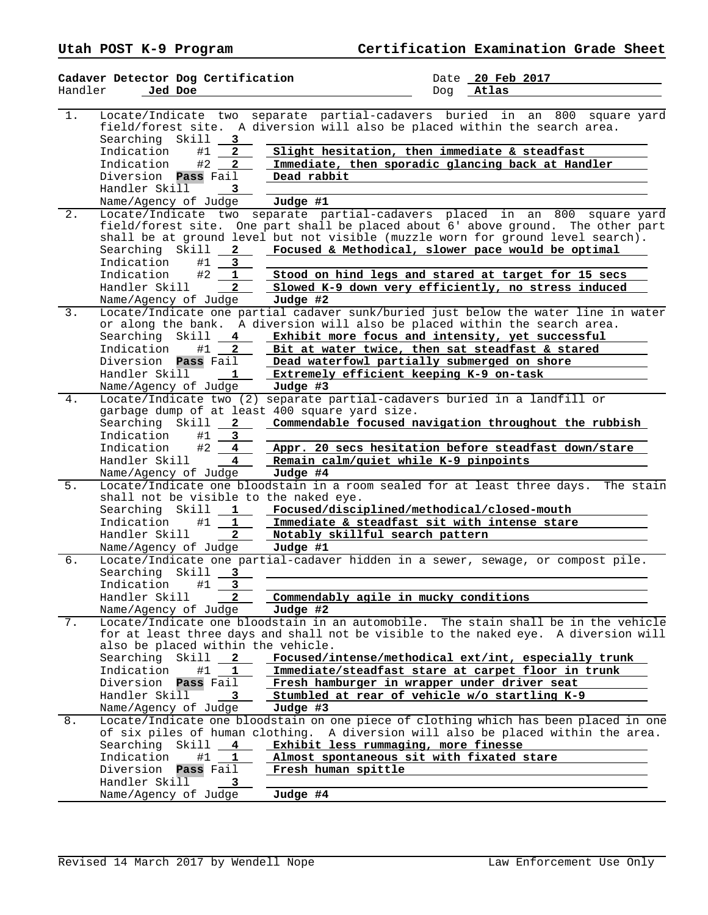|         | Cadaver Detector Dog Certification             | Date 20 Feb 2017                                                                      |
|---------|------------------------------------------------|---------------------------------------------------------------------------------------|
| Handler | Jed Doe                                        | Atlas<br>Dog                                                                          |
|         |                                                |                                                                                       |
| $1$ .   | Locate/Indicate two                            | separate partial-cadavers buried in an 800<br>square yard                             |
|         | field/forest site.                             | A diversion will also be placed within the search area.                               |
|         | Searching Skill<br>3                           |                                                                                       |
|         | Indication<br>#1<br>2                          | Slight hesitation, then immediate & steadfast                                         |
|         | Indication<br>#2<br>$\mathbf{2}$               | Immediate, then sporadic glancing back at Handler                                     |
|         | Diversion <b>Pass</b> Fail                     | Dead rabbit                                                                           |
|         | Handler Skill<br>3                             |                                                                                       |
|         |                                                | Judge #1                                                                              |
|         | Name/Agency of Judge                           |                                                                                       |
| $2$ .   | Locate/Indicate two                            | separate partial-cadavers placed in an<br>800<br>square yard                          |
|         |                                                | field/forest site. One part shall be placed about 6' above ground. The other part     |
|         |                                                | shall be at ground level but not visible (muzzle worn for ground level search).       |
|         | Searching Skill<br>$\mathbf{2}$                | Focused & Methodical, slower pace would be optimal                                    |
|         | Indication<br>3<br>#1                          |                                                                                       |
|         | Indication<br>#2<br>1                          | Stood on hind legs and stared at target for 15 secs                                   |
|         | $\overline{a}$<br>Handler Skill                | Slowed K-9 down very efficiently, no stress induced                                   |
|         | Name/Agency of Judge                           | Judge #2                                                                              |
| 3.      |                                                | Locate/Indicate one partial cadaver sunk/buried just below the water line in water    |
|         | or along the bank.                             | A diversion will also be placed within the search area.                               |
|         | Searching Skill<br>4                           | Exhibit more focus and intensity, yet successful                                      |
|         | #1<br>Indication<br>$\mathbf{2}$               | Bit at water twice, then sat steadfast & stared                                       |
|         | Diversion<br><b>Pass</b> Fail                  | Dead waterfowl partially submerged on shore                                           |
|         | Handler Skill<br>1                             | Extremely efficient keeping K-9 on-task                                               |
|         | Name/Agency of Judge                           | Judge #3                                                                              |
| 4.      |                                                | Locate/Indicate two (2) separate partial-cadavers buried in a landfill or             |
|         |                                                |                                                                                       |
|         | garbage dump of at least 400 square yard size. |                                                                                       |
|         | Searching Skill<br>$\mathbf{2}$                | Commendable focused navigation throughout the rubbish                                 |
|         | Indication<br>3<br>#1                          |                                                                                       |
|         | #2<br>Indication<br>4                          | Appr. 20 secs hesitation before steadfast down/stare                                  |
|         | Handler Skill<br>4                             | Remain calm/quiet while K-9 pinpoints                                                 |
|         | Name/Agency of Judge                           | Judge #4                                                                              |
| 5.      |                                                | Locate/Indicate one bloodstain in a room sealed for at least three days.<br>The stain |
|         | shall not be visible to the naked eye.         |                                                                                       |
|         | Searching Skill<br>$\mathbf{1}$                | Focused/disciplined/methodical/closed-mouth                                           |
|         | Indication<br>#1<br>$\mathbf{1}$               | Immediate & steadfast sit with intense stare                                          |
|         | Handler Skill<br>$\overline{a}$                | Notably skillful search pattern                                                       |
|         | Name/Agency of Judge                           | Judge #1                                                                              |
| б.      |                                                | Locate/Indicate one partial-cadaver hidden in a sewer, sewage, or compost pile.       |
|         | Searching<br>Skill<br>3                        |                                                                                       |
|         | 3<br>Indication<br>#1                          |                                                                                       |
|         | Handler Skill<br>2                             | Commendably agile in mucky conditions                                                 |
|         |                                                |                                                                                       |
|         | Name/Agency of Judge                           | Judge #2                                                                              |
| 7.      |                                                | Locate/Indicate one bloodstain in an automobile. The stain shall be in the vehicle    |
|         |                                                | for at least three days and shall not be visible to the naked eye. A diversion will   |
|         | also be placed within the vehicle.             |                                                                                       |
|         | Searching<br>Skill<br>2                        | Focused/intense/methodical ext/int, especially trunk                                  |
|         | Indication<br>#1<br>ı                          | Immediate/steadfast stare at carpet floor in trunk                                    |
|         | Diversion<br>Pass Fail                         | Fresh hamburger in wrapper under driver seat                                          |
|         | Handler Skill<br>3                             | Stumbled at rear of vehicle w/o startling K-9                                         |
|         | Name/Agency of Judge                           | Judge #3                                                                              |
| 8.      |                                                | Locate/Indicate one bloodstain on one piece of clothing which has been placed in one  |
|         |                                                | of six piles of human clothing. A diversion will also be placed within the area.      |
|         | Searching Skill<br>4                           | Exhibit less rummaging, more finesse                                                  |
|         | Indication<br>#1<br>1                          | Almost spontaneous sit with fixated stare                                             |
|         | Diversion<br>Pass Fail                         | Fresh human spittle                                                                   |
|         | Handler Skill                                  |                                                                                       |
|         |                                                |                                                                                       |
|         | Name/Agency of Judge                           | Judge #4                                                                              |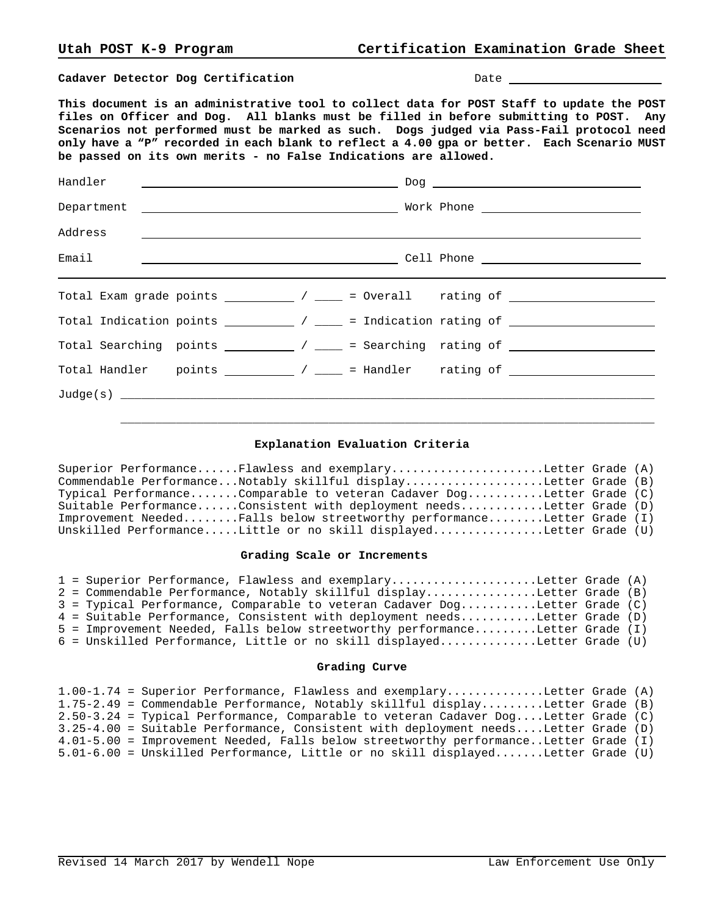**Cadaver Detector Dog Certification Date Date Date** 

**This document is an administrative tool to collect data for POST Staff to update the POST files on Officer and Dog. All blanks must be filled in before submitting to POST. Any Scenarios not performed must be marked as such. Dogs judged via Pass-Fail protocol need only have a "P" recorded in each blank to reflect a 4.00 gpa or better. Each Scenario MUST be passed on its own merits - no False Indications are allowed.**

| Address                                                                                                                                                        |  |  |  |  |  |  |
|----------------------------------------------------------------------------------------------------------------------------------------------------------------|--|--|--|--|--|--|
| Email                                                                                                                                                          |  |  |  |  |  |  |
| Total Exam grade points $\frac{1}{\sqrt{2\pi}}$ / $\frac{1}{\sqrt{2\pi}}$ = Overall rating of $\frac{1}{\sqrt{2\pi}}$                                          |  |  |  |  |  |  |
| Total Indication points $\begin{array}{c} \begin{array}{c} \end{array}$ / $\begin{array}{c} \end{array}$ = Indication rating of $\begin{array}{c} \end{array}$ |  |  |  |  |  |  |
| Total Searching points $\frac{1}{\sqrt{2\pi}}$ / $\frac{1}{\sqrt{2\pi}}$ = Searching rating of $\frac{1}{\sqrt{2\pi}}$                                         |  |  |  |  |  |  |
|                                                                                                                                                                |  |  |  |  |  |  |
| Judge(s)                                                                                                                                                       |  |  |  |  |  |  |

## **Explanation Evaluation Criteria**

 $\mathcal{L}_\text{max}$  , and the set of the set of the set of the set of the set of the set of the set of the set of the set of the set of the set of the set of the set of the set of the set of the set of the set of the set of the

Superior Performance......Flawless and exemplary......................Letter Grade (A) Commendable Performance...Notably skillful display....................Letter Grade (B) Typical Performance.......Comparable to veteran Cadaver Dog...........Letter Grade (C) Suitable Performance......Consistent with deployment needs............Letter Grade (D) Improvement Needed........Falls below streetworthy performance........Letter Grade (I) Unskilled Performance.....Little or no skill displayed................Letter Grade (U)

## **Grading Scale or Increments**

|  | 1 = Superior Performance, Flawless and exemplaryLetter Grade (A)             |  |
|--|------------------------------------------------------------------------------|--|
|  | 2 = Commendable Performance, Notably skillful displayLetter Grade (B)        |  |
|  | 3 = Typical Performance, Comparable to veteran Cadaver DogLetter Grade (C)   |  |
|  | 4 = Suitable Performance, Consistent with deployment needsLetter Grade (D)   |  |
|  | 5 = Improvement Needed, Falls below streetworthy performanceLetter Grade (I) |  |
|  | 6 = Unskilled Performance, Little or no skill displayedLetter Grade (U)      |  |

## **Grading Curve**

|  | $1.00-1.74$ = Superior Performance, Flawless and exemplaryLetter Grade (A)           |  |
|--|--------------------------------------------------------------------------------------|--|
|  | 1.75-2.49 = Commendable Performance, Notably skillful displayLetter Grade (B)        |  |
|  | $2.50-3.24$ = Typical Performance, Comparable to veteran Cadaver DogLetter Grade (C) |  |
|  | 3.25-4.00 = Suitable Performance, Consistent with deployment needsLetter Grade (D)   |  |
|  | 4.01-5.00 = Improvement Needed, Falls below streetworthy performanceLetter Grade (I) |  |
|  | $5.01-6.00$ = Unskilled Performance, Little or no skill displayedLetter Grade (U)    |  |